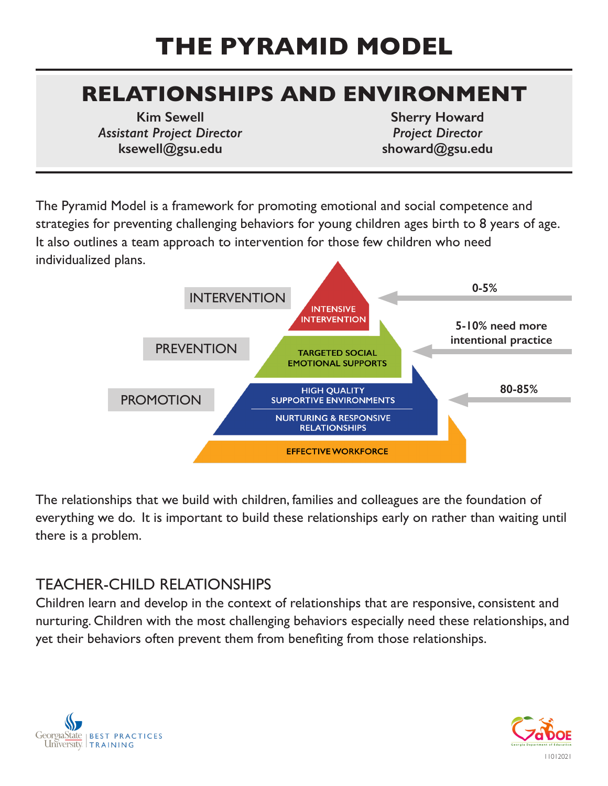# **THE PYRAMID MODEL**

# **RELATIONSHIPS AND ENVIRONMENT**

**Kim Sewell** *Assistant Project Director* **ksewell@gsu.edu**

**Sherry Howard** *Project Director* **showard@gsu.edu**

The Pyramid Model is a framework for promoting emotional and social competence and strategies for preventing challenging behaviors for young children ages birth to 8 years of age. It also outlines a team approach to intervention for those few children who need individualized plans.



The relationships that we build with children, families and colleagues are the foundation of everything we do. It is important to build these relationships early on rather than waiting until there is a problem.

#### TEACHER-CHILD RELATIONSHIPS

Children learn and develop in the context of relationships that are responsive, consistent and nurturing. Children with the most challenging behaviors especially need these relationships, and yet their behaviors often prevent them from benefiting from those relationships.



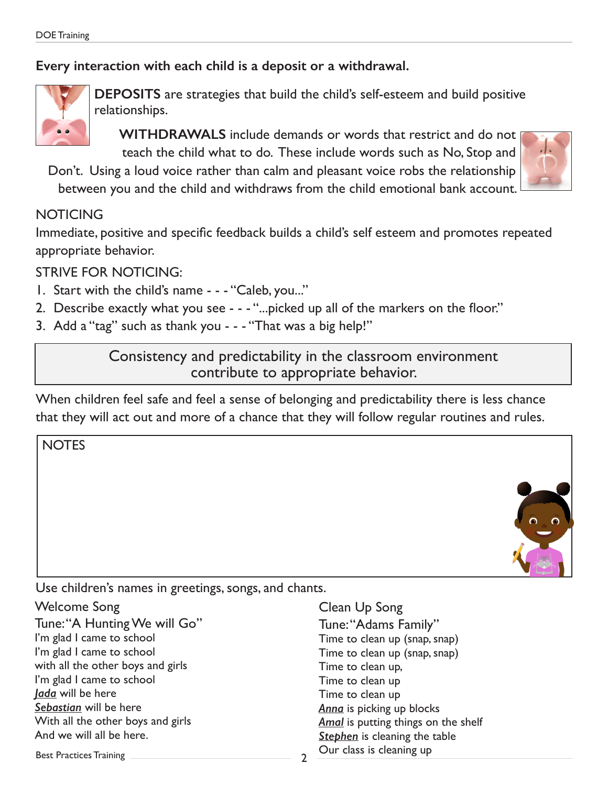#### **Every interaction with each child is a deposit or a withdrawal.**



**DEPOSITS** are strategies that build the child's self-esteem and build positive relationships.

**WITHDRAWALS** include demands or words that restrict and do not teach the child what to do. These include words such as No, Stop and

Don't. Using a loud voice rather than calm and pleasant voice robs the relationship between you and the child and withdraws from the child emotional bank account.

#### **NOTICING**

Immediate, positive and specific feedback builds a child's self esteem and promotes repeated appropriate behavior.

STRIVE FOR NOTICING:

- 1. Start with the child's name - "Caleb, you..."
- 2. Describe exactly what you see - "...picked up all of the markers on the floor."
- 3. Add a "tag" such as thank you - "That was a big help!"

Consistency and predictability in the classroom environment contribute to appropriate behavior.

When children feel safe and feel a sense of belonging and predictability there is less chance that they will act out and more of a chance that they will follow regular routines and rules.

**NOTES** 



Use children's names in greetings, songs, and chants.

Welcome Song Tune: "A Hunting We will Go" I'm glad I came to school I'm glad I came to school with all the other boys and girls I'm glad I came to school *Jada* will be here *Sebastian* will be here With all the other boys and girls And we will all be here.

Clean Up Song Tune: "Adams Family" Time to clean up (snap, snap) Time to clean up (snap, snap) Time to clean up, Time to clean up Time to clean up *Anna* is picking up blocks *Amal* is putting things on the shelf **Stephen** is cleaning the table Our class is cleaning up

Best Practices Training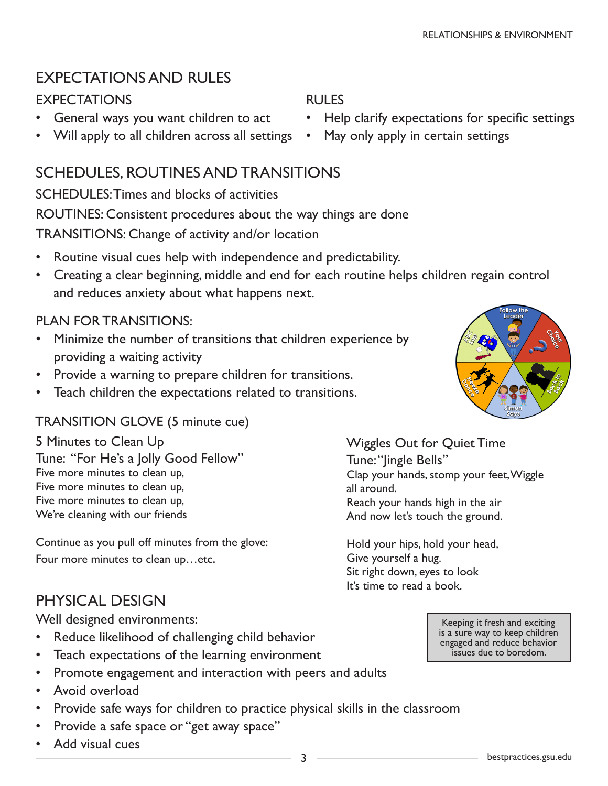#### EXPECTATIONS AND RULES

#### **EXPECTATIONS**

- General ways you want children to act
- Will apply to all children across all settings

#### SCHEDULES, ROUTINES AND TRANSITIONS

SCHEDULES: Times and blocks of activities ROUTINES: Consistent procedures about the way things are done TRANSITIONS: Change of activity and/or location

- Routine visual cues help with independence and predictability.
- Creating a clear beginning, middle and end for each routine helps children regain control and reduces anxiety about what happens next.

#### PLAN FOR TRANSITIONS:

- Minimize the number of transitions that children experience by providing a waiting activity
- Provide a warning to prepare children for transitions.
- Teach children the expectations related to transitions.

#### TRANSITION GLOVE (5 minute cue)

5 Minutes to Clean Up Tune: "For He's a Jolly Good Fellow" Five more minutes to clean up, Five more minutes to clean up, Five more minutes to clean up, We're cleaning with our friends

Continue as you pull off minutes from the glove: Four more minutes to clean up…etc.

## PHYSICAL DESIGN

Well designed environments:

- Reduce likelihood of challenging child behavior
- Teach expectations of the learning environment
- Promote engagement and interaction with peers and adults
- Avoid overload
- Provide safe ways for children to practice physical skills in the classroom
- Provide a safe space or "get away space"
- Add visual cues

RULES

- Help clarify expectations for specific settings
- May only apply in certain settings

Wiggles Out for Quiet Time Tune: "lingle Bells" Clap your hands, stomp your feet, Wiggle all around. Reach your hands high in the air And now let's touch the ground.

Hold your hips, hold your head, Give yourself a hug. Sit right down, eyes to look It's time to read a book.

> Keeping it fresh and exciting is a sure way to keep children engaged and reduce behavior issues due to boredom.